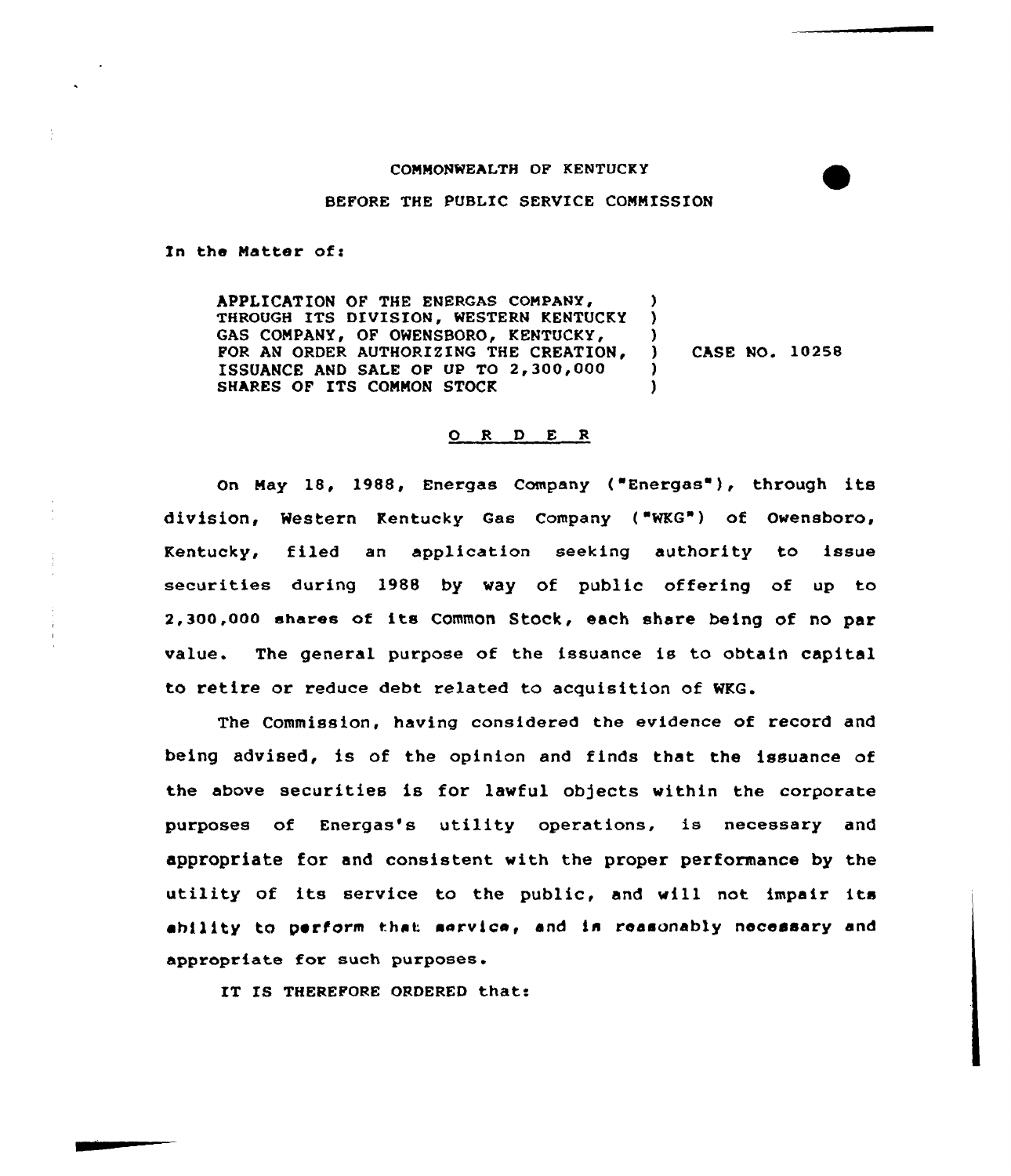## COMMONWEALTH OF KENTUCKY

BEFORE THE PUBLIC SERVICE COMMISSION

In the Matter of:

APPLICATION OF THE ENERGAS COMPANY, THROUGH ITS DIVISION, WESTERN KENTUCKY GAS COMPANY, OF OWENSBORO, KENTUCKY, FOR AN ORDER AUTHORIZING THE CREATION, ISSUANCE AND SALE OF UP TO 2,300,000 SHARES OF ITS COMMON STOCK ) ) ) ) ChsE No. 10258 ) )

## 0 <sup>R</sup> <sup>D</sup> E <sup>R</sup>

On May 18, 1988, Energas Company ( Energas ), through its division, Western Kentucky Gas Company ( WKG") of Owensboro, Kentucky, filed an application seeking authority to issue securities during 1988 by way of public offering of up to 2,300,000 shares of its common Stock, each share being of no par value. The general purpose of the issuance is to obtain capital to retire or reduce debt related to acquisition of WKG.

The Commission, having considered the evidence of record and being advised, is of the opinion and finds that the issuance of the above securities is for lawful objects within the corporate purposes of Energas's utility operations, is necessary and appropriate for and consistent with the proper performance by the utility of its service to the public, and will not impair its ability to perform that service, and is reasonably necessary and appropriate for such purposes.

IT IS THEREFORE ORDERED that: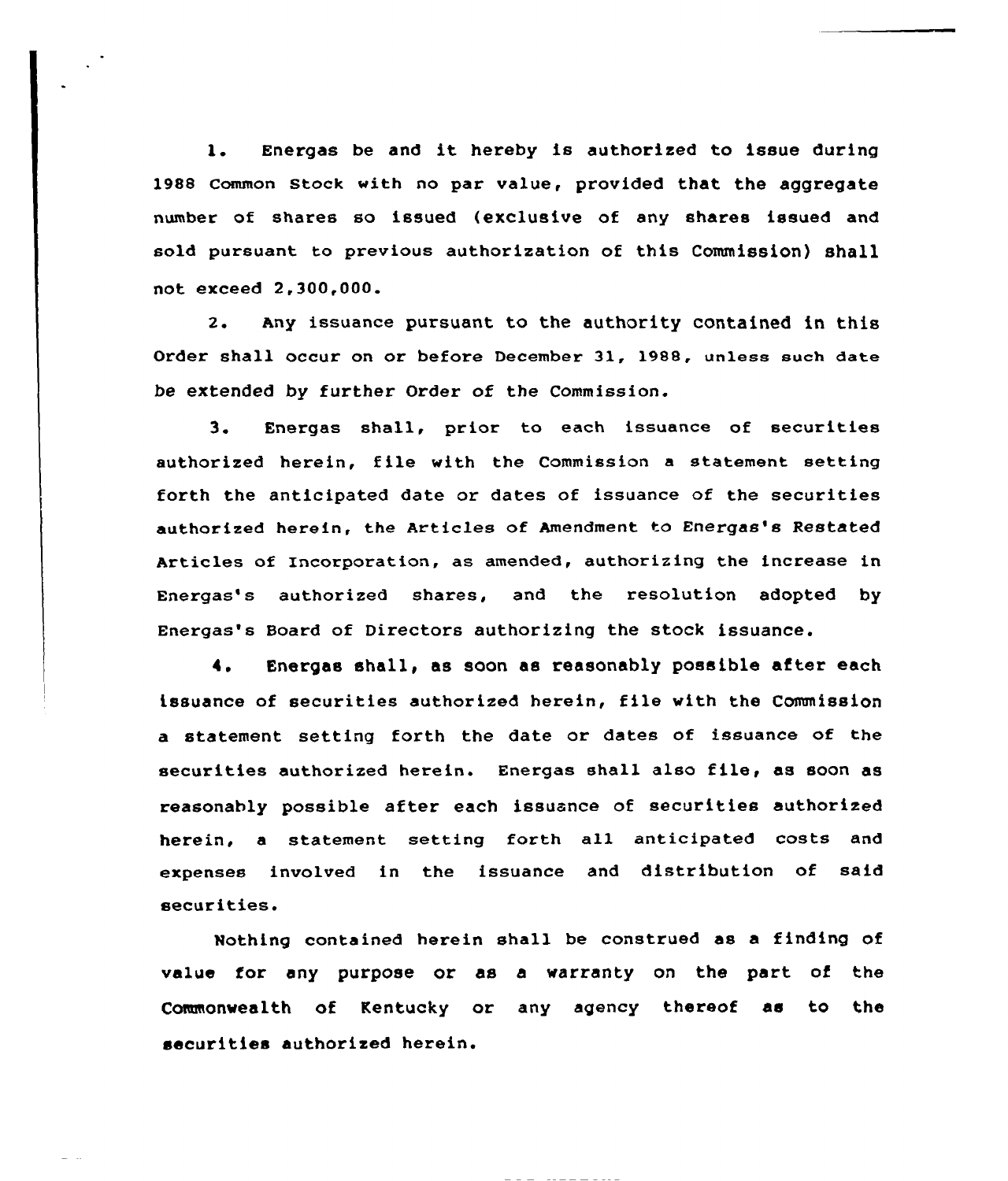1. Energas be and it hereby is authorized to issue during 1988 common stock with no par value, provided that the aggregate number of shares so issued (exclusive of any shares issued and sold pursuant to previous authorization of this Commission) shall not exceed 2,300,000.

2. Any issuance pursuant to the authority contained in this Order shall occur on or before December 31, 1988, unless such date be extended by further Order of the Commission.

3. Energas shall, prior to each issuance of securities authorized herein, file with the Commission <sup>a</sup> statement setting forth the anticipated date or dates of issuance of the securities authorized herein, the Articles of Amendment to Energas's Restated Articles of Incorporation, as amended, authorizing the increase in Enexgas's authorized shares, and the xesolution adopted by Energas's Board of Directors authorizing the stock issuance.

4. Energas shall, as soon as reasonably possible after each issuance of securities authorized herein, file with the Commission a statement setting forth the date or dates of issuance of the securities authorized herein. Energas shall also file, as soon as reasonably possible after each issuance of securities authorized herein, a statement setting forth all anticipated costs and expenses involved in the issuance and distribution of said securities.

Nothing contained herein shall be construed as a finding of value for any purpose or as a waxranty on the part of the Commonwealth of Kentucky or any agency thereof as to the securities authorized herein.